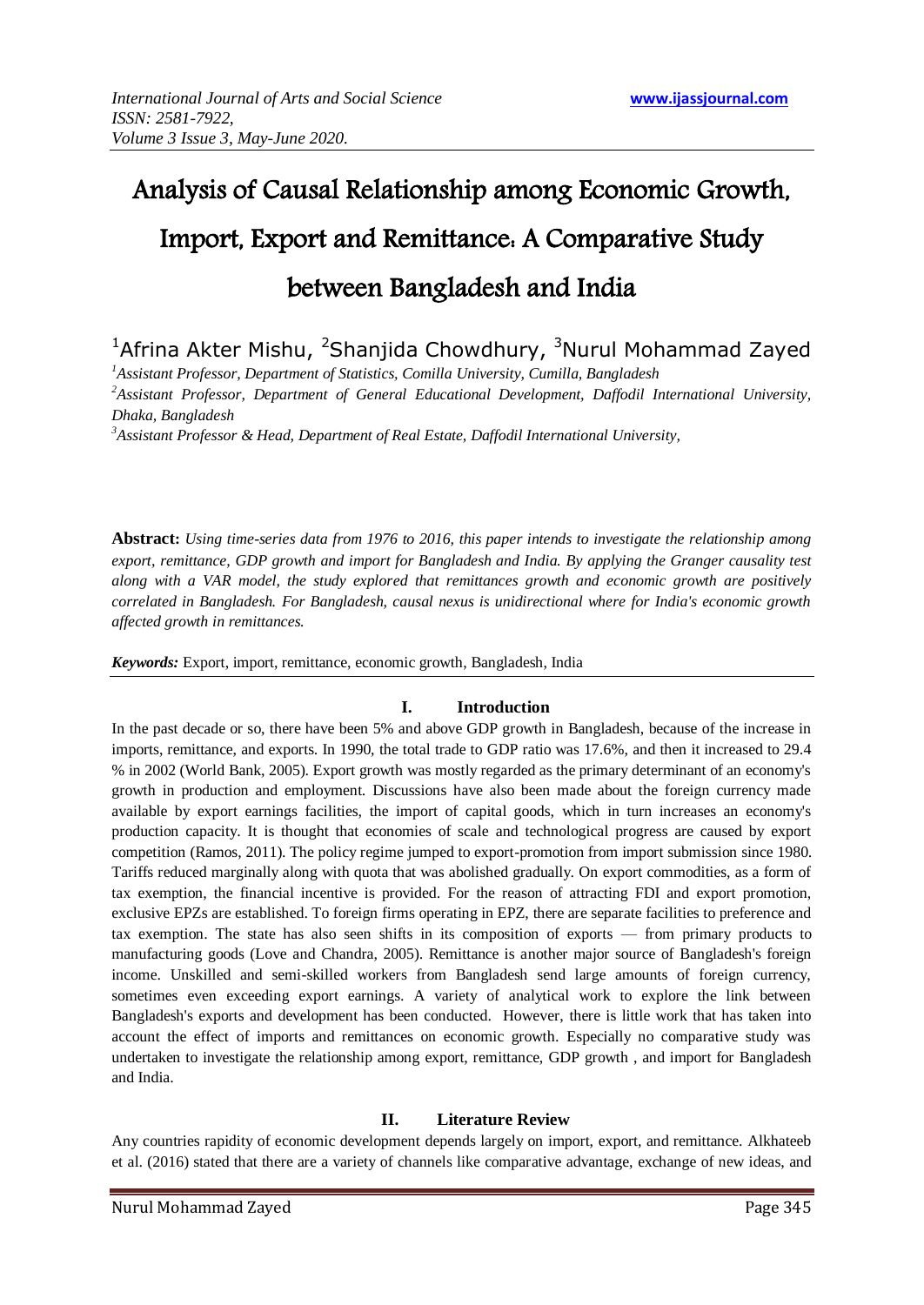# Analysis of Causal Relationship among Economic Growth, Import, Export and Remittance: A Comparative Study between Bangladesh and India

# <sup>1</sup>Afrina Akter Mishu, <sup>2</sup>Shanjida Chowdhury, <sup>3</sup>Nurul Mohammad Zayed

*<sup>1</sup>Assistant Professor, Department of Statistics, Comilla University, Cumilla, Bangladesh <sup>2</sup>Assistant Professor, Department of General Educational Development, Daffodil International University, Dhaka, Bangladesh*

*<sup>3</sup>Assistant Professor & Head, Department of Real Estate, Daffodil International University,* 

**Abstract:** *Using time-series data from 1976 to 2016, this paper intends to investigate the relationship among export, remittance, GDP growth and import for Bangladesh and India. By applying the Granger causality test along with a VAR model, the study explored that remittances growth and economic growth are positively correlated in Bangladesh. For Bangladesh, causal nexus is unidirectional where for India's economic growth affected growth in remittances.*

*Keywords:* Export, import, remittance, economic growth, Bangladesh, India

## **I. Introduction**

In the past decade or so, there have been 5% and above GDP growth in Bangladesh, because of the increase in imports, remittance, and exports. In 1990, the total trade to GDP ratio was 17.6%, and then it increased to 29.4 % in 2002 (World Bank, 2005). Export growth was mostly regarded as the primary determinant of an economy's growth in production and employment. Discussions have also been made about the foreign currency made available by export earnings facilities, the import of capital goods, which in turn increases an economy's production capacity. It is thought that economies of scale and technological progress are caused by export competition (Ramos, 2011). The policy regime jumped to export-promotion from import submission since 1980. Tariffs reduced marginally along with quota that was abolished gradually. On export commodities, as a form of tax exemption, the financial incentive is provided. For the reason of attracting FDI and export promotion, exclusive EPZs are established. To foreign firms operating in EPZ, there are separate facilities to preference and tax exemption. The state has also seen shifts in its composition of exports — from primary products to manufacturing goods (Love and Chandra, 2005). Remittance is another major source of Bangladesh's foreign income. Unskilled and semi-skilled workers from Bangladesh send large amounts of foreign currency, sometimes even exceeding export earnings. A variety of analytical work to explore the link between Bangladesh's exports and development has been conducted. However, there is little work that has taken into account the effect of imports and remittances on economic growth. Especially no comparative study was undertaken to investigate the relationship among export, remittance, GDP growth , and import for Bangladesh and India.

#### **II. Literature Review**

Any countries rapidity of economic development depends largely on import, export, and remittance. Alkhateeb et al. (2016) stated that there are a variety of channels like comparative advantage, exchange of new ideas, and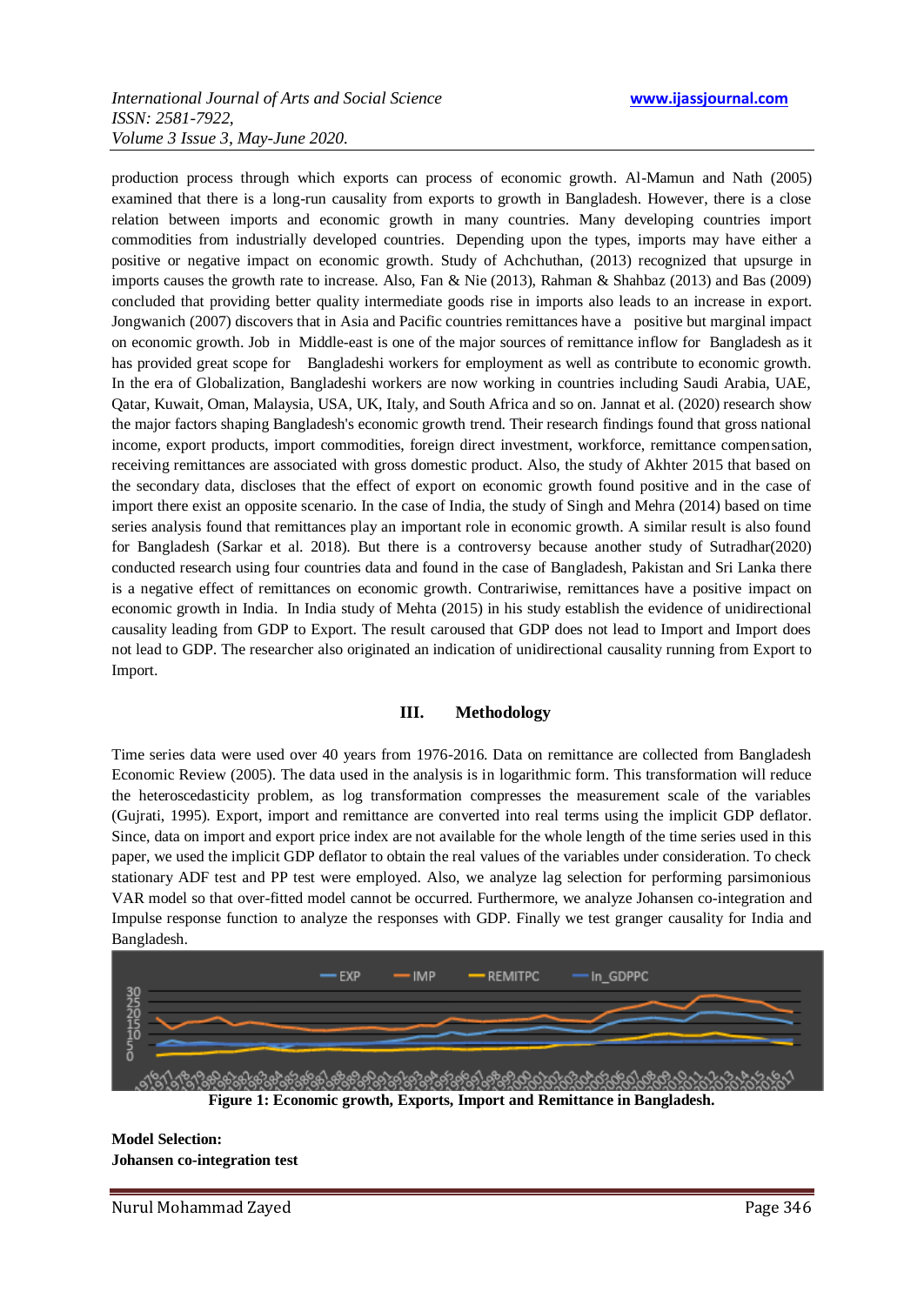production process through which exports can process of economic growth. Al-Mamun and Nath (2005) examined that there is a long-run causality from exports to growth in Bangladesh. However, there is a close relation between imports and economic growth in many countries. Many developing countries import commodities from industrially developed countries. Depending upon the types, imports may have either a positive or negative impact on economic growth. Study of Achchuthan, (2013) recognized that upsurge in imports causes the growth rate to increase. Also, Fan & Nie (2013), Rahman & Shahbaz (2013) and Bas (2009) concluded that providing better quality intermediate goods rise in imports also leads to an increase in export. Jongwanich (2007) discovers that in Asia and Pacific countries remittances have a positive but marginal impact on economic growth. Job in Middle-east is one of the major sources of remittance inflow for Bangladesh as it has provided great scope for Bangladeshi workers for employment as well as contribute to economic growth. In the era of Globalization, Bangladeshi workers are now working in countries including Saudi Arabia, UAE, Qatar, Kuwait, Oman, Malaysia, USA, UK, Italy, and South Africa and so on. Jannat et al. (2020) research show the major factors shaping Bangladesh's economic growth trend. Their research findings found that gross national income, export products, import commodities, foreign direct investment, workforce, remittance compensation, receiving remittances are associated with gross domestic product. Also, the study of Akhter 2015 that based on the secondary data, discloses that the effect of export on economic growth found positive and in the case of import there exist an opposite scenario. In the case of India, the study of Singh and Mehra (2014) based on time series analysis found that remittances play an important role in economic growth. A similar result is also found for Bangladesh (Sarkar et al. 2018). But there is a controversy because another study of Sutradhar(2020) conducted research using four countries data and found in the case of Bangladesh, Pakistan and Sri Lanka there is a negative effect of remittances on economic growth. Contrariwise, remittances have a positive impact on economic growth in India. In India study of Mehta (2015) in his study establish the evidence of unidirectional causality leading from GDP to Export. The result caroused that GDP does not lead to Import and Import does not lead to GDP. The researcher also originated an indication of unidirectional causality running from Export to Import.

#### **III. Methodology**

Time series data were used over 40 years from 1976-2016. Data on remittance are collected from Bangladesh Economic Review (2005). The data used in the analysis is in logarithmic form. This transformation will reduce the heteroscedasticity problem, as log transformation compresses the measurement scale of the variables (Gujrati, 1995). Export, import and remittance are converted into real terms using the implicit GDP deflator. Since, data on import and export price index are not available for the whole length of the time series used in this paper, we used the implicit GDP deflator to obtain the real values of the variables under consideration. To check stationary ADF test and PP test were employed. Also, we analyze lag selection for performing parsimonious VAR model so that over-fitted model cannot be occurred. Furthermore, we analyze Johansen co-integration and Impulse response function to analyze the responses with GDP. Finally we test granger causality for India and Bangladesh.



**Model Selection: Johansen co-integration test**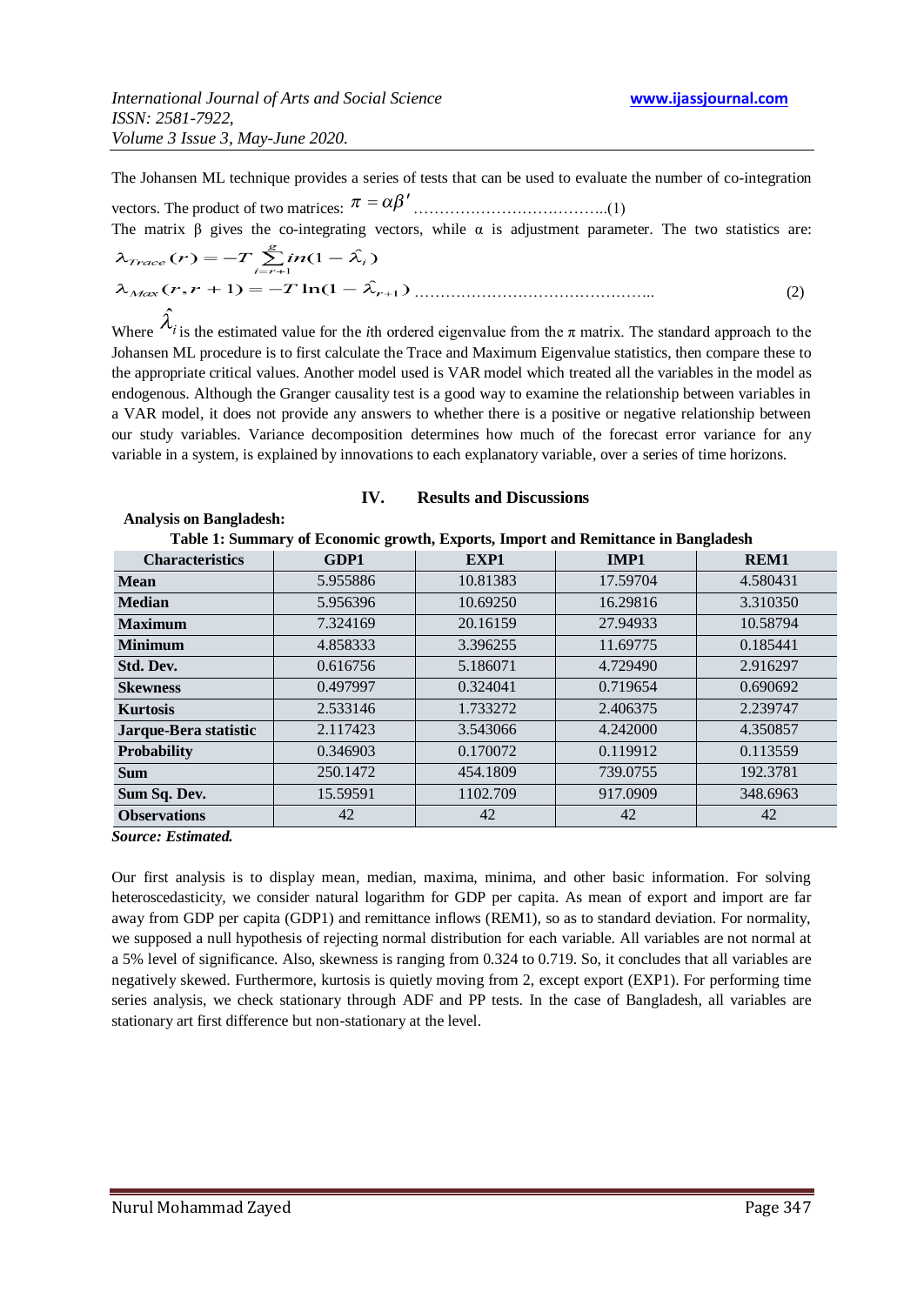The Johansen ML technique provides a series of tests that can be used to evaluate the number of co-integration vectors. The product of two matrices: ………………………………..(1)

The matrix  $\beta$  gives the co-integrating vectors, while  $\alpha$  is adjustment parameter. The two statistics are:

……………………………………….. (2)

Where  $\lambda_i$  is the estimated value for the *i*th ordered eigenvalue from the  $\pi$  matrix. The standard approach to the Johansen ML procedure is to first calculate the Trace and Maximum Eigenvalue statistics, then compare these to the appropriate critical values. Another model used is VAR model which treated all the variables in the model as endogenous. Although the Granger causality test is a good way to examine the relationship between variables in a VAR model, it does not provide any answers to whether there is a positive or negative relationship between our study variables. Variance decomposition determines how much of the forecast error variance for any variable in a system, is explained by innovations to each explanatory variable, over a series of time horizons.

#### **IV. Results and Discussions**

| Table 1: Summary of Economic growth, Exports, Import and Remittance in Bangladesh |          |          |             |             |  |  |  |  |  |
|-----------------------------------------------------------------------------------|----------|----------|-------------|-------------|--|--|--|--|--|
| <b>Characteristics</b>                                                            | GDP1     | EXP1     | <b>IMP1</b> | <b>REM1</b> |  |  |  |  |  |
| <b>Mean</b>                                                                       | 5.955886 | 10.81383 | 17.59704    | 4.580431    |  |  |  |  |  |
| <b>Median</b>                                                                     | 5.956396 | 10.69250 | 16.29816    | 3.310350    |  |  |  |  |  |
| <b>Maximum</b>                                                                    | 7.324169 | 20.16159 | 27.94933    | 10.58794    |  |  |  |  |  |
| <b>Minimum</b>                                                                    | 4.858333 | 3.396255 | 11.69775    | 0.185441    |  |  |  |  |  |
| Std. Dev.                                                                         | 0.616756 | 5.186071 | 4.729490    | 2.916297    |  |  |  |  |  |

**Skewness** 0.497997 0.324041 0.719654 0.690692 **Kurtosis** 2.533146 1.733272 2.406375 2.239747 **Jarque-Bera statistic | 2.117423 | 3.543066 | 4.242000 | 4.350857 Probability** 0.346903 0.170072 0.119912 0.113559

**Observations** 1 42 1 42 42 42 42

 **Analysis on Bangladesh:**

**Sum** 250.1472 454.1809 739.0755 1 192.3781 **Sum Sq. Dev.** 15.59591 1102.709 917.0909 348.6963

*Source: Estimated.* 

Our first analysis is to display mean, median, maxima, minima, and other basic information. For solving heteroscedasticity, we consider natural logarithm for GDP per capita. As mean of export and import are far away from GDP per capita (GDP1) and remittance inflows (REM1), so as to standard deviation. For normality, we supposed a null hypothesis of rejecting normal distribution for each variable. All variables are not normal at a 5% level of significance. Also, skewness is ranging from 0.324 to 0.719. So, it concludes that all variables are negatively skewed. Furthermore, kurtosis is quietly moving from 2, except export (EXP1). For performing time series analysis, we check stationary through ADF and PP tests. In the case of Bangladesh, all variables are stationary art first difference but non-stationary at the level.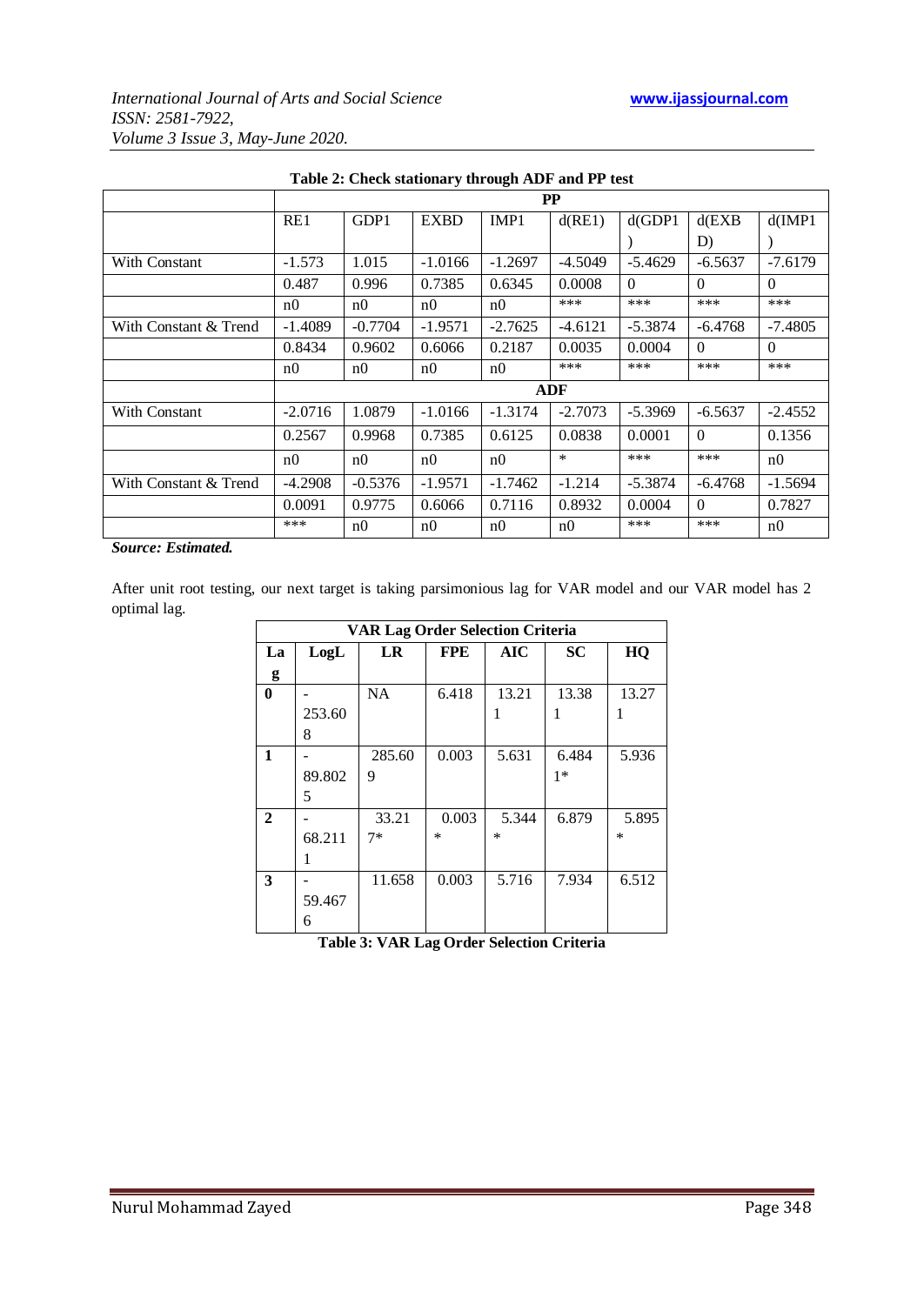|                       |                |           |                |                | $\bf PP$   |           |           |                |
|-----------------------|----------------|-----------|----------------|----------------|------------|-----------|-----------|----------------|
|                       | RE1            | GDP1      | <b>EXBD</b>    | IMP1           | d(RE1)     | $d$ (GDP1 | $d$ (EXB  | d(MP1)         |
|                       |                |           |                |                |            |           | D)        |                |
| With Constant         | $-1.573$       | 1.015     | $-1.0166$      | $-1.2697$      | $-4.5049$  | $-5.4629$ | $-6.5637$ | $-7.6179$      |
|                       | 0.487          | 0.996     | 0.7385         | 0.6345         | 0.0008     | $\Omega$  | $\Omega$  | $\Omega$       |
|                       | n0             | n0        | n0             | n0             | ***        | $***$     | ***       | ***            |
| With Constant & Trend | $-1.4089$      | $-0.7704$ | $-1.9571$      | $-2.7625$      | $-4.6121$  | $-5.3874$ | $-6.4768$ | $-7.4805$      |
|                       | 0.8434         | 0.9602    | 0.6066         | 0.2187         | 0.0035     | 0.0004    | $\Omega$  | $\Omega$       |
|                       | n <sub>0</sub> | n0        | n0             | n0             | ***        | ***       | ***       | ***            |
|                       |                |           |                |                | <b>ADF</b> |           |           |                |
| With Constant         | $-2.0716$      | 1.0879    | $-1.0166$      | $-1.3174$      | $-2.7073$  | $-5.3969$ | $-6.5637$ | $-2.4552$      |
|                       | 0.2567         | 0.9968    | 0.7385         | 0.6125         | 0.0838     | 0.0001    | $\theta$  | 0.1356         |
|                       | n <sub>0</sub> | n0        | n <sub>0</sub> | n <sub>0</sub> | $\ast$     | $***$     | ***       | n <sub>0</sub> |
| With Constant & Trend | $-4.2908$      | $-0.5376$ | $-1.9571$      | $-1.7462$      | $-1.214$   | $-5.3874$ | $-6.4768$ | $-1.5694$      |
|                       | 0.0091         | 0.9775    | 0.6066         | 0.7116         | 0.8932     | 0.0004    | $\theta$  | 0.7827         |
|                       | ***            | n0        | n0             | n <sub>0</sub> | n0         | ***       | ***       | n0             |

### **Table 2: Check stationary through ADF and PP test**

*Source: Estimated.* 

After unit root testing, our next target is taking parsimonious lag for VAR model and our VAR model has 2 optimal lag.

|              | <b>VAR Lag Order Selection Criteria</b> |           |            |            |           |        |  |  |  |
|--------------|-----------------------------------------|-----------|------------|------------|-----------|--------|--|--|--|
| La           | LogL                                    | <b>LR</b> | <b>FPE</b> | <b>AIC</b> | <b>SC</b> | HQ     |  |  |  |
| g            |                                         |           |            |            |           |        |  |  |  |
| $\bf{0}$     |                                         | <b>NA</b> | 6.418      | 13.21      | 13.38     | 13.27  |  |  |  |
|              | 253.60                                  |           |            | 1          |           | 1      |  |  |  |
|              | 8                                       |           |            |            |           |        |  |  |  |
| 1            |                                         | 285.60    | 0.003      | 5.631      | 6.484     | 5.936  |  |  |  |
|              | 89.802                                  | 9         |            |            | $1*$      |        |  |  |  |
|              | 5                                       |           |            |            |           |        |  |  |  |
| $\mathbf{2}$ |                                         | 33.21     | 0.003      | 5.344      | 6.879     | 5.895  |  |  |  |
|              | 68.211                                  | $7*$      | $\ast$     | $\ast$     |           | $\ast$ |  |  |  |
|              |                                         |           |            |            |           |        |  |  |  |
| 3            |                                         | 11.658    | 0.003      | 5.716      | 7.934     | 6.512  |  |  |  |
|              | 59.467                                  |           |            |            |           |        |  |  |  |
|              | 6                                       |           |            |            |           |        |  |  |  |

**Table 3: VAR Lag Order Selection Criteria**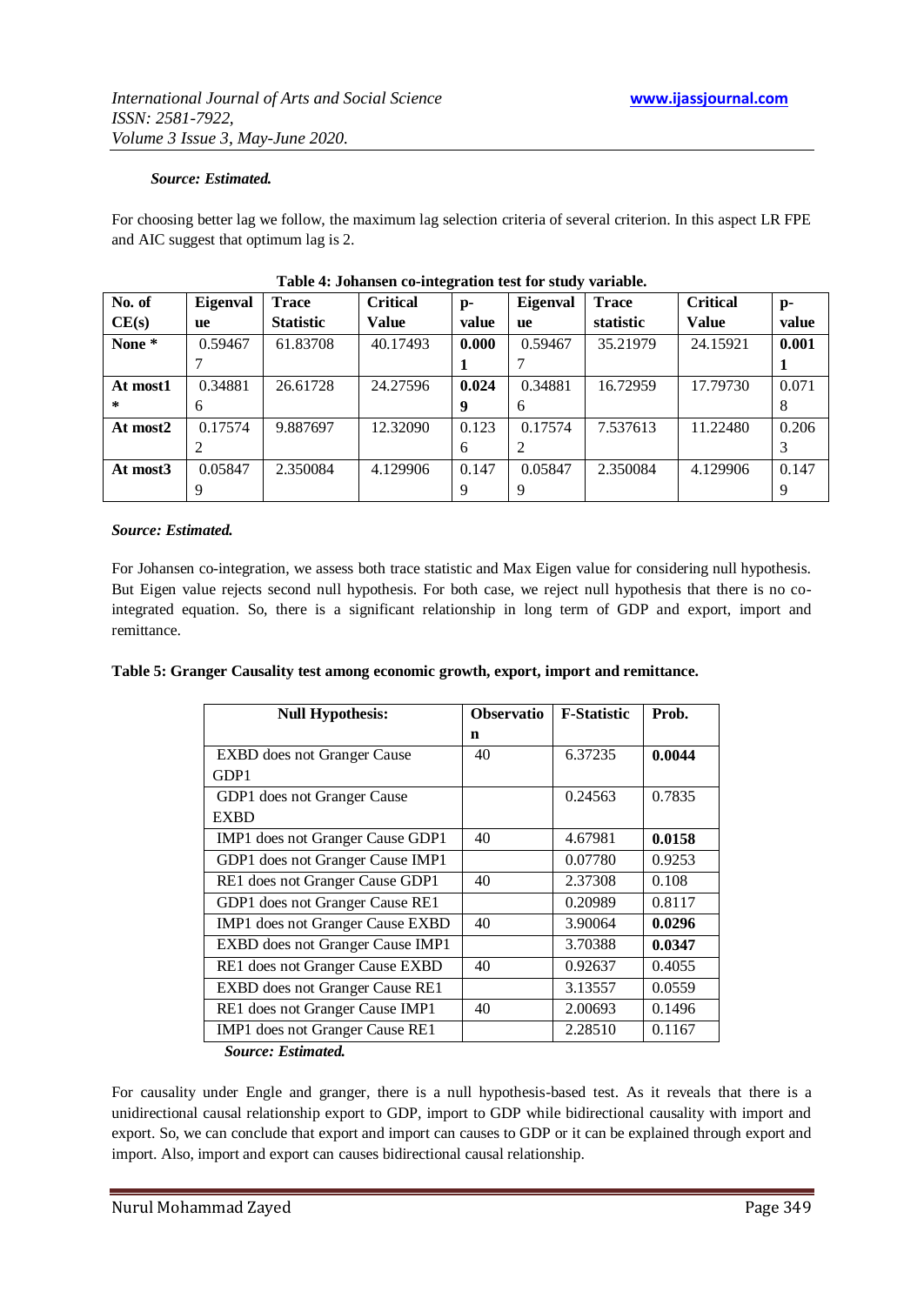#### *Source: Estimated.*

For choosing better lag we follow, the maximum lag selection criteria of several criterion. In this aspect LR FPE and AIC suggest that optimum lag is 2.

| No. of   | Eigenval | <b>Trace</b>     | <b>Critical</b> | $p-$  | <b>Eigenval</b> | <b>Trace</b> | <b>Critical</b> | $p-$  |
|----------|----------|------------------|-----------------|-------|-----------------|--------------|-----------------|-------|
| CE(s)    | ue       | <b>Statistic</b> | <b>Value</b>    | value | <b>ue</b>       | statistic    | <b>Value</b>    | value |
| None *   | 0.59467  | 61.83708         | 40.17493        | 0.000 | 0.59467         | 35.21979     | 24.15921        | 0.001 |
|          |          |                  |                 |       |                 |              |                 |       |
| At most1 | 0.34881  | 26.61728         | 24.27596        | 0.024 | 0.34881         | 16.72959     | 17.79730        | 0.071 |
| *        | 6        |                  |                 | y     | 6               |              |                 | 8     |
| At most2 | 0.17574  | 9.887697         | 12.32090        | 0.123 | 0.17574         | 7.537613     | 11.22480        | 0.206 |
|          |          |                  |                 | 6     |                 |              |                 |       |
| At most3 | 0.05847  | 2.350084         | 4.129906        | 0.147 | 0.05847         | 2.350084     | 4.129906        | 0.147 |
|          | 9        |                  |                 |       |                 |              |                 | 9     |

#### **Table 4: Johansen co-integration test for study variable.**

#### *Source: Estimated.*

For Johansen co-integration, we assess both trace statistic and Max Eigen value for considering null hypothesis. But Eigen value rejects second null hypothesis. For both case, we reject null hypothesis that there is no cointegrated equation. So, there is a significant relationship in long term of GDP and export, import and remittance.

| <b>Null Hypothesis:</b>            | <b>Observatio</b> | <b>F-Statistic</b> | Prob.  |
|------------------------------------|-------------------|--------------------|--------|
|                                    | n                 |                    |        |
| <b>EXBD</b> does not Granger Cause | 40                | 6.37235            | 0.0044 |
| GDP1                               |                   |                    |        |
| GDP1 does not Granger Cause        |                   | 0.24563            | 0.7835 |
| <b>EXBD</b>                        |                   |                    |        |
| IMP1 does not Granger Cause GDP1   | 40                | 4.67981            | 0.0158 |
| GDP1 does not Granger Cause IMP1   |                   | 0.07780            | 0.9253 |
| RE1 does not Granger Cause GDP1    | 40                | 2.37308            | 0.108  |
| GDP1 does not Granger Cause RE1    |                   | 0.20989            | 0.8117 |
| IMP1 does not Granger Cause EXBD   | 40                | 3.90064            | 0.0296 |
| EXBD does not Granger Cause IMP1   |                   | 3.70388            | 0.0347 |
| RE1 does not Granger Cause EXBD    | 40                | 0.92637            | 0.4055 |
| EXBD does not Granger Cause RE1    |                   | 3.13557            | 0.0559 |
| RE1 does not Granger Cause IMP1    | 40                | 2.00693            | 0.1496 |
| IMP1 does not Granger Cause RE1    |                   | 2.28510            | 0.1167 |
|                                    |                   |                    |        |

 *Source: Estimated.*

For causality under Engle and granger, there is a null hypothesis-based test. As it reveals that there is a unidirectional causal relationship export to GDP, import to GDP while bidirectional causality with import and export. So, we can conclude that export and import can causes to GDP or it can be explained through export and import. Also, import and export can causes bidirectional causal relationship.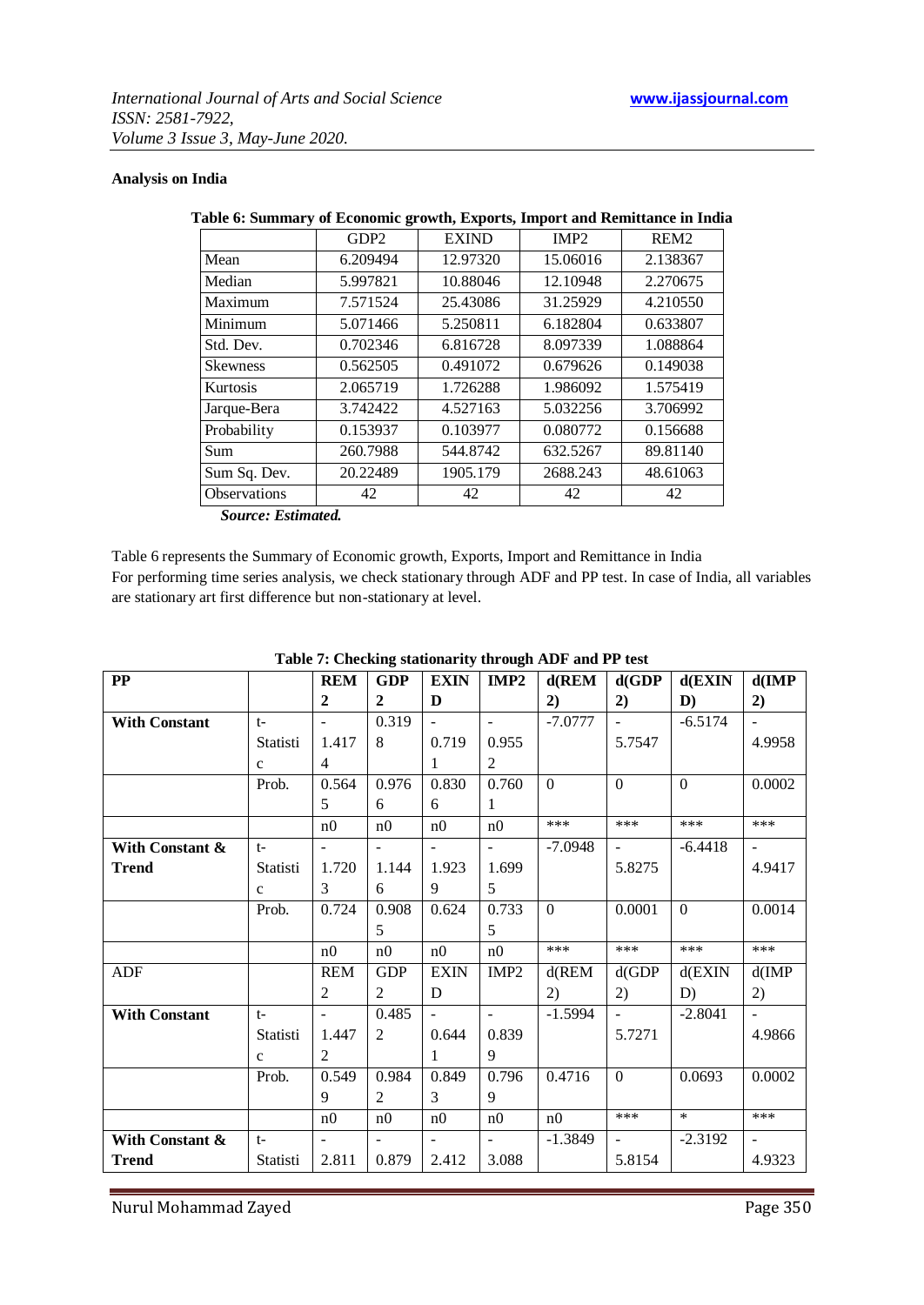#### **Analysis on India**

|                                           | GDP <sub>2</sub> | <b>EXIND</b> | IMP <sub>2</sub> | REM <sub>2</sub> |
|-------------------------------------------|------------------|--------------|------------------|------------------|
| Mean                                      | 6.209494         | 12.97320     | 15.06016         | 2.138367         |
| Median                                    | 5.997821         | 10.88046     | 12.10948         | 2.270675         |
| Maximum                                   | 7.571524         | 25.43086     | 31.25929         | 4.210550         |
| Minimum                                   | 5.071466         | 5.250811     | 6.182804         | 0.633807         |
| Std. Dev.                                 | 0.702346         | 6.816728     | 8.097339         | 1.088864         |
| <b>Skewness</b>                           | 0.562505         | 0.491072     | 0.679626         | 0.149038         |
| <b>Kurtosis</b>                           | 2.065719         | 1.726288     | 1.986092         | 1.575419         |
| Jarque-Bera                               | 3.742422         | 4.527163     | 5.032256         | 3.706992         |
| Probability                               | 0.153937         | 0.103977     | 0.080772         | 0.156688         |
| Sum                                       | 260.7988         | 544.8742     | 632.5267         | 89.81140         |
| Sum Sq. Dev.                              | 20.22489         | 1905.179     | 2688.243         | 48.61063         |
| <b>Observations</b>                       | 42               | 42           | 42               | 42               |
| $C_1, \ldots, C_n, C_1, \ldots, C_n, C_n$ |                  |              |                  |                  |

#### **Table 6: Summary of Economic growth, Exports, Import and Remittance in India**

 *Source: Estimated.*

Table 6 represents the Summary of Economic growth, Exports, Import and Remittance in India For performing time series analysis, we check stationary through ADF and PP test. In case of India, all variables are stationary art first difference but non-stationary at level.

| PP                   |              | <b>REM</b>               | <b>GDP</b>     | <b>EXIN</b>                 | IMP <sub>2</sub>           | $d$ (REM       | d(GDP)                | $d$ (EXIN      | $d$ (IMP            |
|----------------------|--------------|--------------------------|----------------|-----------------------------|----------------------------|----------------|-----------------------|----------------|---------------------|
|                      |              | $\mathbf{2}$             | $\mathbf{2}$   | D                           |                            | 2)             | 2)                    | $\mathbf{D}$ ) | 2)                  |
| <b>With Constant</b> | $t-$         | $\omega_{\rm{max}}$      | 0.319          | $\omega_{\rm{max}}$         | $\omega_{\rm{max}}$        | $-7.0777$      | $\omega_{\rm{max}}$   | $-6.5174$      | $\omega_{\rm{eff}}$ |
|                      | Statisti     | 1.417                    | 8              | 0.719                       | 0.955                      |                | 5.7547                |                | 4.9958              |
|                      | $\mathbf{c}$ | $\overline{4}$           |                | $\mathbf{1}$                | $\overline{2}$             |                |                       |                |                     |
|                      | Prob.        | 0.564                    | 0.976          | 0.830                       | 0.760                      | $\Omega$       | $\Omega$              | $\theta$       | 0.0002              |
|                      |              | 5                        | 6              | 6                           | 1                          |                |                       |                |                     |
|                      |              | n <sub>0</sub>           | n0             | n0                          | n0                         | ***            | ***                   | ***            | ***                 |
| With Constant &      | $t-$         | $\overline{\phantom{a}}$ | $\blacksquare$ | $\omega_{\rm c}$            | $\omega_{\rm{eff}}$        | $-7.0948$      | $\omega_{\rm{max}}$   | $-6.4418$      | $\pm$ .             |
| <b>Trend</b>         | Statisti     | 1.720                    | 1.144          | 1.923                       | 1.699                      |                | 5.8275                |                | 4.9417              |
|                      | $\mathbf{C}$ | 3                        | 6              | 9                           | $5^{\circ}$                |                |                       |                |                     |
|                      | Prob.        | 0.724                    | 0.908          | 0.624                       | 0.733                      | $\overline{0}$ | 0.0001                | $\overline{0}$ | 0.0014              |
|                      |              |                          | 5              |                             | 5                          |                |                       |                |                     |
|                      |              | n <sub>0</sub>           | n0             | n0                          | n0                         | $***$          | ***                   | $***$          | ***                 |
| ADF                  |              | <b>REM</b>               | <b>GDP</b>     | <b>EXIN</b>                 | IMP <sub>2</sub>           | $d$ (REM       | d(GDP)                | $d$ (EXIN      | d(IMP)              |
|                      |              | 2                        | $\overline{2}$ | D                           |                            | 2)             | 2)                    | D)             | 2)                  |
| <b>With Constant</b> | $t-$         | $\sim$                   | 0.485          | $\mathcal{L}_{\mathcal{A}}$ | $\sim$ $-$                 | $-1.5994$      | $\omega_{\rm{max}}$   | $-2.8041$      | $\sim 10$           |
|                      | Statisti     | 1.447                    | $\overline{2}$ | 0.644                       | 0.839                      |                | 5.7271                |                | 4.9866              |
|                      | $\mathbf{c}$ | 2                        |                | $\mathbf{1}$                | 9                          |                |                       |                |                     |
|                      | Prob.        | 0.549                    | 0.984          | 0.849                       | 0.796                      | 0.4716         | $\overline{0}$        | 0.0693         | 0.0002              |
|                      |              | 9                        | $\overline{2}$ | $\overline{3}$              | 9                          |                |                       |                |                     |
|                      |              | n <sub>0</sub>           | n <sub>0</sub> | n <sub>0</sub>              | n <sub>0</sub>             | n <sub>0</sub> | ***                   | $*$            | ***                 |
| With Constant &      | $t-$         | $\overline{\phantom{a}}$ |                | $\blacksquare$              | $\mathbf{L}^{\mathcal{A}}$ | $-1.3849$      | $\Delta \sim 10^{11}$ | $-2.3192$      | $\omega_{\rm{eff}}$ |
| <b>Trend</b>         | Statisti     | 2.811                    | 0.879          | 2.412                       | 3.088                      |                | 5.8154                |                | 4.9323              |

# **Table 7: Checking stationarity through ADF and PP test**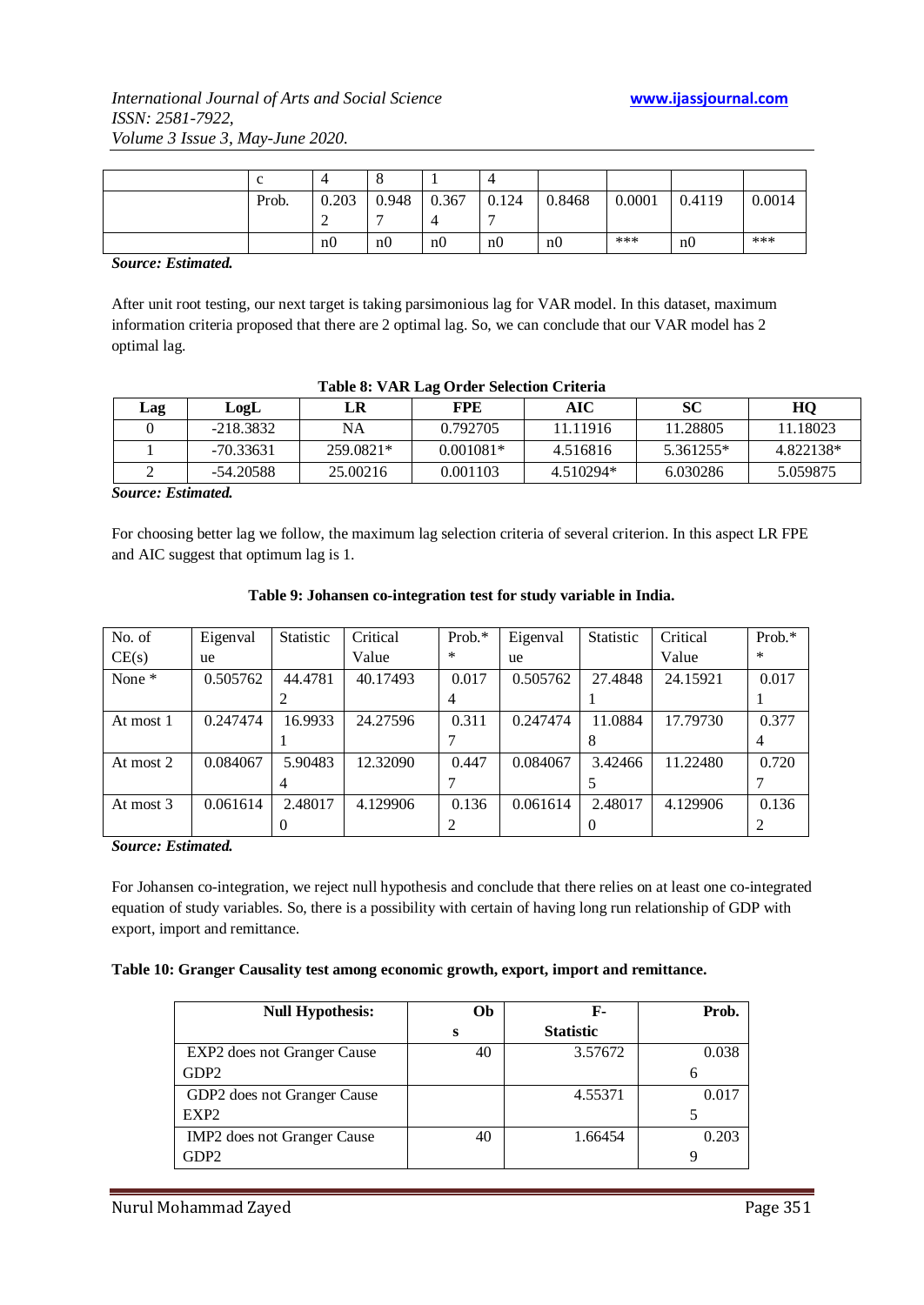| $\sim$<br>◡ |                |                |                |                |                |        |        |        |
|-------------|----------------|----------------|----------------|----------------|----------------|--------|--------|--------|
| Prob.       | 0.203          | 0.948          | 0.367          | 0.124          | 0.8468         | 0.0001 | 0.4119 | 0.0014 |
|             | ∸              |                |                |                |                |        |        |        |
|             | n <sub>0</sub> | n <sub>0</sub> | n <sub>0</sub> | n <sub>0</sub> | n <sub>0</sub> | ***    | n0     | ***    |

*Source: Estimated.*

After unit root testing, our next target is taking parsimonious lag for VAR model. In this dataset, maximum information criteria proposed that there are 2 optimal lag. So, we can conclude that our VAR model has 2 optimal lag.

| Lag | LogL        | LR        | <b>FPE</b>  | AIC       | SС        | HQ        |
|-----|-------------|-----------|-------------|-----------|-----------|-----------|
|     | $-218.3832$ | NA        | 0.792705    | 11.11916  | 11.28805  | 11.18023  |
|     | $-70.33631$ | 259.0821* | $0.001081*$ | 4.516816  | 5.361255* | 4.822138* |
|     | -54.20588   | 25.00216  | 0.001103    | 4.510294* | 6.030286  | 5.059875  |

#### **Table 8: VAR Lag Order Selection Criteria**

*Source: Estimated.*

For choosing better lag we follow, the maximum lag selection criteria of several criterion. In this aspect LR FPE and AIC suggest that optimum lag is 1.

| No. of    | Eigenval | <b>Statistic</b> | Critical | Prob. $*$ | Eigenval | <b>Statistic</b> | Critical | Prob.* |
|-----------|----------|------------------|----------|-----------|----------|------------------|----------|--------|
| CE(s)     | ue       |                  | Value    | $\ast$    | ue       |                  | Value    | $\ast$ |
| None *    | 0.505762 | 44.4781          | 40.17493 | 0.017     | 0.505762 | 27.4848          | 24.15921 | 0.017  |
|           |          |                  |          | 4         |          |                  |          |        |
| At most 1 | 0.247474 | 16.9933          | 24.27596 | 0.311     | 0.247474 | 11.0884          | 17.79730 | 0.377  |
|           |          |                  |          |           |          |                  |          | 4      |
| At most 2 | 0.084067 | 5.90483          | 12.32090 | 0.447     | 0.084067 | 3.42466          | 11.22480 | 0.720  |
|           |          |                  |          |           |          |                  |          |        |
| At most 3 | 0.061614 | 2.48017          | 4.129906 | 0.136     | 0.061614 | 2.48017          | 4.129906 | 0.136  |
|           |          |                  |          |           |          |                  |          |        |

#### **Table 9: Johansen co-integration test for study variable in India.**

*Source: Estimated.*

For Johansen co-integration, we reject null hypothesis and conclude that there relies on at least one co-integrated equation of study variables. So, there is a possibility with certain of having long run relationship of GDP with export, import and remittance.

#### **Table 10: Granger Causality test among economic growth, export, import and remittance.**

| <b>Null Hypothesis:</b>     | Ob | F-               | Prob. |
|-----------------------------|----|------------------|-------|
|                             | s  | <b>Statistic</b> |       |
| EXP2 does not Granger Cause | 40 | 3.57672          | 0.038 |
| GDP2                        |    |                  | h     |
| GDP2 does not Granger Cause |    | 4.55371          | 0.017 |
| EXP <sub>2</sub>            |    |                  |       |
| IMP2 does not Granger Cause | 40 | 1.66454          | 0.203 |
| GDP2                        |    |                  |       |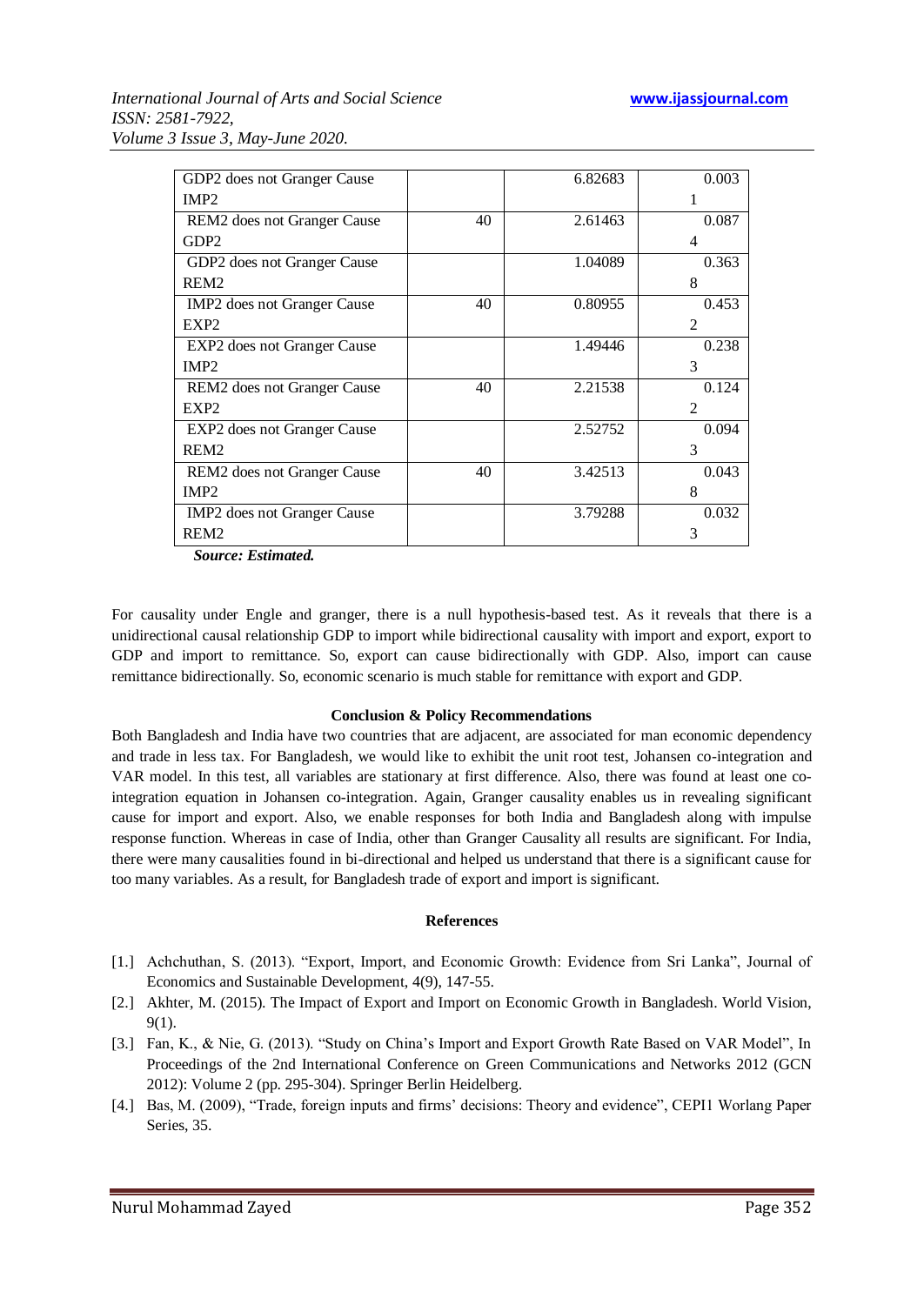| GDP2 does not Granger Cause             |    | 6.82683 | 0.003          |
|-----------------------------------------|----|---------|----------------|
| IMP <sub>2</sub>                        |    |         |                |
| REM2 does not Granger Cause             | 40 | 2.61463 | 0.087          |
| GDP <sub>2</sub>                        |    |         | 4              |
| GDP2 does not Granger Cause             |    | 1.04089 | 0.363          |
| REM <sub>2</sub>                        |    |         | 8              |
| IMP <sub>2</sub> does not Granger Cause | 40 | 0.80955 | 0.453          |
| EXP <sub>2</sub>                        |    |         | $\mathfrak{D}$ |
| EXP2 does not Granger Cause             |    | 1.49446 | 0.238          |
| IMP <sub>2</sub>                        |    |         | 3              |
| REM <sub>2</sub> does not Granger Cause | 40 | 2.21538 | 0.124          |
| EXP <sub>2</sub>                        |    |         | $\mathfrak{D}$ |
| EXP2 does not Granger Cause             |    | 2.52752 | 0.094          |
| REM <sub>2</sub>                        |    |         | 3              |
| REM <sub>2</sub> does not Granger Cause | 40 | 3.42513 | 0.043          |
| IMP <sub>2</sub>                        |    |         | 8              |
| IMP2 does not Granger Cause             |    | 3.79288 | 0.032          |
| REM <sub>2</sub>                        |    |         | 3              |

 *Source: Estimated.*

For causality under Engle and granger, there is a null hypothesis-based test. As it reveals that there is a unidirectional causal relationship GDP to import while bidirectional causality with import and export, export to GDP and import to remittance. So, export can cause bidirectionally with GDP. Also, import can cause remittance bidirectionally. So, economic scenario is much stable for remittance with export and GDP.

#### **Conclusion & Policy Recommendations**

Both Bangladesh and India have two countries that are adjacent, are associated for man economic dependency and trade in less tax. For Bangladesh, we would like to exhibit the unit root test, Johansen co-integration and VAR model. In this test, all variables are stationary at first difference. Also, there was found at least one cointegration equation in Johansen co-integration. Again, Granger causality enables us in revealing significant cause for import and export. Also, we enable responses for both India and Bangladesh along with impulse response function. Whereas in case of India, other than Granger Causality all results are significant. For India, there were many causalities found in bi-directional and helped us understand that there is a significant cause for too many variables. As a result, for Bangladesh trade of export and import is significant.

#### **References**

- [1.] Achchuthan, S. (2013). "Export, Import, and Economic Growth: Evidence from Sri Lanka", Journal of Economics and Sustainable Development, 4(9), 147-55.
- [2.] Akhter, M. (2015). The Impact of Export and Import on Economic Growth in Bangladesh. World Vision, 9(1).
- [3.] Fan, K., & Nie, G. (2013). "Study on China's Import and Export Growth Rate Based on VAR Model", In Proceedings of the 2nd International Conference on Green Communications and Networks 2012 (GCN 2012): Volume 2 (pp. 295-304). Springer Berlin Heidelberg.
- [4.] Bas, M. (2009), "Trade, foreign inputs and firms' decisions: Theory and evidence", CEPI1 Worlang Paper Series, 35.